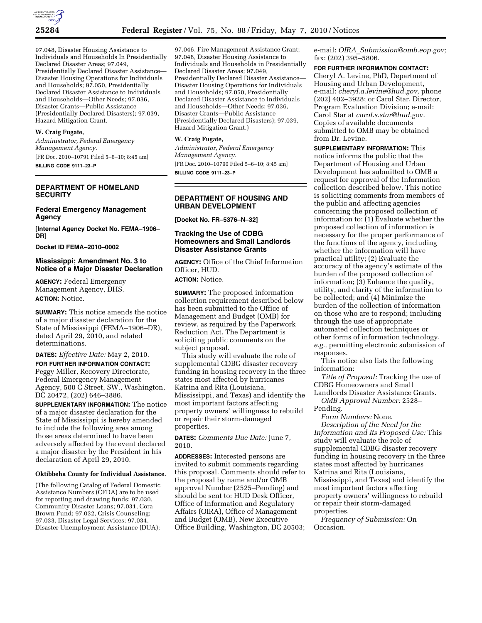

97.048, Disaster Housing Assistance to Individuals and Households In Presidentially Declared Disaster Areas; 97.049, Presidentially Declared Disaster Assistance— Disaster Housing Operations for Individuals and Households; 97.050, Presidentially Declared Disaster Assistance to Individuals and Households—Other Needs; 97.036, Disaster Grants—Public Assistance (Presidentially Declared Disasters); 97.039, Hazard Mitigation Grant.

## **W. Craig Fugate,**

*Administrator, Federal Emergency Management Agency.*  [FR Doc. 2010–10791 Filed 5–6–10; 8:45 am]

**BILLING CODE 9111–23–P** 

## **DEPARTMENT OF HOMELAND SECURITY**

### **Federal Emergency Management Agency**

**[Internal Agency Docket No. FEMA–1906– DR]** 

**Docket ID FEMA–2010–0002** 

### **Mississippi; Amendment No. 3 to Notice of a Major Disaster Declaration**

**AGENCY:** Federal Emergency Management Agency, DHS. **ACTION:** Notice.

**SUMMARY:** This notice amends the notice of a major disaster declaration for the State of Mississippi (FEMA–1906–DR), dated April 29, 2010, and related determinations.

### **DATES:** *Effective Date:* May 2, 2010.

**FOR FURTHER INFORMATION CONTACT:**  Peggy Miller, Recovery Directorate, Federal Emergency Management Agency, 500 C Street, SW., Washington, DC 20472, (202) 646–3886.

**SUPPLEMENTARY INFORMATION:** The notice of a major disaster declaration for the State of Mississippi is hereby amended to include the following area among those areas determined to have been adversely affected by the event declared a major disaster by the President in his declaration of April 29, 2010.

#### **Oktibbeha County for Individual Assistance.**

(The following Catalog of Federal Domestic Assistance Numbers (CFDA) are to be used for reporting and drawing funds: 97.030, Community Disaster Loans; 97.031, Cora Brown Fund; 97.032, Crisis Counseling; 97.033, Disaster Legal Services; 97.034, Disaster Unemployment Assistance (DUA);

97.046, Fire Management Assistance Grant; 97.048, Disaster Housing Assistance to Individuals and Households in Presidentially Declared Disaster Areas; 97.049, Presidentially Declared Disaster Assistance— Disaster Housing Operations for Individuals and Households; 97.050, Presidentially Declared Disaster Assistance to Individuals and Households—Other Needs; 97.036, Disaster Grants—Public Assistance (Presidentially Declared Disasters); 97.039, Hazard Mitigation Grant.)

#### **W. Craig Fugate,**

*Administrator, Federal Emergency Management Agency.*  [FR Doc. 2010–10790 Filed 5–6–10; 8:45 am] **BILLING CODE 9111–23–P** 

# **DEPARTMENT OF HOUSING AND URBAN DEVELOPMENT**

**[Docket No. FR–5376–N–32]** 

## **Tracking the Use of CDBG Homeowners and Small Landlords Disaster Assistance Grants**

**AGENCY:** Office of the Chief Information Officer, HUD.

**ACTION:** Notice.

**SUMMARY:** The proposed information collection requirement described below has been submitted to the Office of Management and Budget (OMB) for review, as required by the Paperwork Reduction Act. The Department is soliciting public comments on the subject proposal.

This study will evaluate the role of supplemental CDBG disaster recovery funding in housing recovery in the three states most affected by hurricanes Katrina and Rita (Louisiana, Mississippi, and Texas) and identify the most important factors affecting property owners' willingness to rebuild or repair their storm-damaged properties.

**DATES:** *Comments Due Date:* June 7, 2010.

**ADDRESSES:** Interested persons are invited to submit comments regarding this proposal. Comments should refer to the proposal by name and/or OMB approval Number (2525–Pending) and should be sent to: HUD Desk Officer, Office of Information and Regulatory Affairs (OIRA), Office of Management and Budget (OMB), New Executive Office Building, Washington, DC 20503; e-mail: *OIRA*\_*Submission@omb.eop.gov;*  fax: (202) 395–5806.

**FOR FURTHER INFORMATION CONTACT:**  Cheryl A. Levine, PhD, Department of Housing and Urban Development, e-mail: *cheryl.a.levine@hud.gov,* phone (202) 402–3928; or Carol Star, Director, Program Evaluation Division; e-mail: Carol Star at *carol.s.star@hud.gov.*  Copies of available documents submitted to OMB may be obtained from Dr. Levine.

**SUPPLEMENTARY INFORMATION:** This notice informs the public that the Department of Housing and Urban Development has submitted to OMB a request for approval of the Information collection described below. This notice is soliciting comments from members of the public and affecting agencies concerning the proposed collection of information to: (1) Evaluate whether the proposed collection of information is necessary for the proper performance of the functions of the agency, including whether the information will have practical utility; (2) Evaluate the accuracy of the agency's estimate of the burden of the proposed collection of information; (3) Enhance the quality, utility, and clarity of the information to be collected; and (4) Minimize the burden of the collection of information on those who are to respond; including through the use of appropriate automated collection techniques or other forms of information technology, *e.g.,* permitting electronic submission of responses.

This notice also lists the following information:

*Title of Proposal:* Tracking the use of CDBG Homeowners and Small

Landlords Disaster Assistance Grants. *OMB Approval Number:* 2528–

Pending.

*Form Numbers:* None. *Description of the Need for the Information and Its Proposed Use:* This study will evaluate the role of supplemental CDBG disaster recovery funding in housing recovery in the three states most affected by hurricanes Katrina and Rita (Louisiana, Mississippi, and Texas) and identify the most important factors affecting property owners' willingness to rebuild or repair their storm-damaged properties.

*Frequency of Submission:* On Occasion.